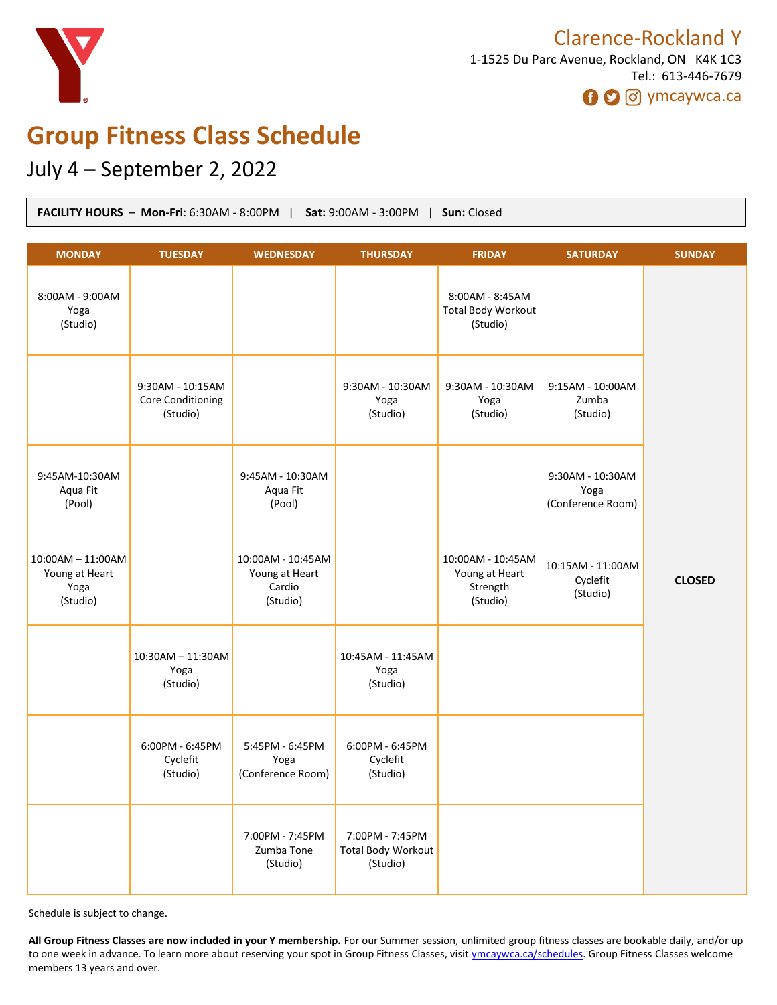

# **Group Fitness Class Schedule**

# July 4 – September 2, 2022

| FACILITY HOURS - Mon-Fri: 6:30AM - 8:00PM   Sat: 9:00AM - 3:00PM   Sun: Closed |                                                   |                                                           |                                                          |                                                             |                                               |               |
|--------------------------------------------------------------------------------|---------------------------------------------------|-----------------------------------------------------------|----------------------------------------------------------|-------------------------------------------------------------|-----------------------------------------------|---------------|
| <b>MONDAY</b>                                                                  | <b>TUESDAY</b>                                    | <b>WEDNESDAY</b>                                          | <b>THURSDAY</b>                                          | <b>FRIDAY</b>                                               | <b>SATURDAY</b>                               | <b>SUNDAY</b> |
| 8:00AM - 9:00AM<br>Yoga<br>(Studio)                                            |                                                   |                                                           |                                                          | 8:00AM - 8:45AM<br><b>Total Body Workout</b><br>(Studio)    |                                               |               |
|                                                                                | 9:30AM - 10:15AM<br>Core Conditioning<br>(Studio) |                                                           | 9:30AM - 10:30AM<br>Yoga<br>(Studio)                     | 9:30AM - 10:30AM<br>Yoga<br>(Studio)                        | 9:15AM - 10:00AM<br>Zumba<br>(Studio)         |               |
| 9:45AM-10:30AM<br>Aqua Fit<br>(Pool)                                           |                                                   | 9:45AM - 10:30AM<br>Aqua Fit<br>(Pool)                    |                                                          |                                                             | 9:30AM - 10:30AM<br>Yoga<br>(Conference Room) |               |
| 10:00AM - 11:00AM<br>Young at Heart<br>Yoga<br>(Studio)                        |                                                   | 10:00AM - 10:45AM<br>Young at Heart<br>Cardio<br>(Studio) |                                                          | 10:00AM - 10:45AM<br>Young at Heart<br>Strength<br>(Studio) | 10:15AM - 11:00AM<br>Cyclefit<br>(Studio)     | <b>CLOSED</b> |
|                                                                                | 10:30AM - 11:30AM<br>Yoga<br>(Studio)             |                                                           | 10:45AM - 11:45AM<br>Yoga<br>(Studio)                    |                                                             |                                               |               |
|                                                                                | 6:00PM - 6:45PM<br>Cyclefit<br>(Studio)           | 5:45PM - 6:45PM<br>Yoga<br>(Conference Room)              | 6:00PM - 6:45PM<br>Cyclefit<br>(Studio)                  |                                                             |                                               |               |
|                                                                                |                                                   | 7:00PM - 7:45PM<br>Zumba Tone<br>(Studio)                 | 7:00PM - 7:45PM<br><b>Total Body Workout</b><br>(Studio) |                                                             |                                               |               |

Schedule is subject to change.

**All Group Fitness Classes are now included in your Y membership.** For our Summer session, unlimited group fitness classes are bookable daily, and/or up to one week in advance. To learn more about reserving your spot in Group Fitness Classes, visit [ymcaywca.ca/schedules.](https://www.ymcaywca.ca/health-fitness/schedules/) Group Fitness Classes welcome members 13 years and over.